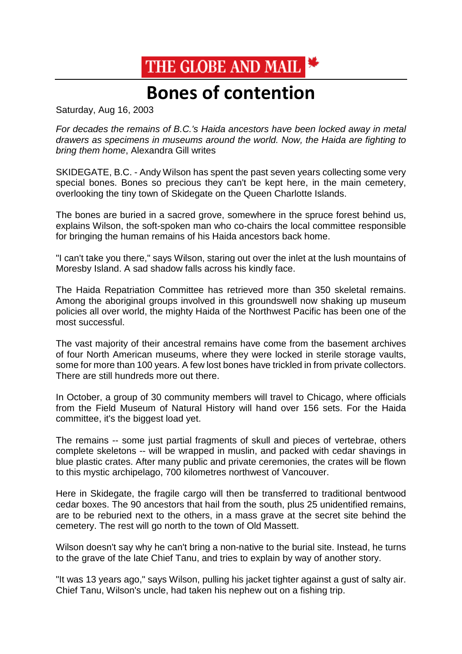## THE GLOBE AND MAIL

## **Bones of contention**

Saturday, Aug 16, 2003

*For decades the remains of B.C.'s Haida ancestors have been locked away in metal drawers as specimens in museums around the world. Now, the Haida are fighting to bring them home*, Alexandra Gill writes

SKIDEGATE, B.C. - Andy Wilson has spent the past seven years collecting some very special bones. Bones so precious they can't be kept here, in the main cemetery, overlooking the tiny town of Skidegate on the Queen Charlotte Islands.

The bones are buried in a sacred grove, somewhere in the spruce forest behind us, explains Wilson, the soft-spoken man who co-chairs the local committee responsible for bringing the human remains of his Haida ancestors back home.

"I can't take you there," says Wilson, staring out over the inlet at the lush mountains of Moresby Island. A sad shadow falls across his kindly face.

The Haida Repatriation Committee has retrieved more than 350 skeletal remains. Among the aboriginal groups involved in this groundswell now shaking up museum policies all over world, the mighty Haida of the Northwest Pacific has been one of the most successful.

The vast majority of their ancestral remains have come from the basement archives of four North American museums, where they were locked in sterile storage vaults, some for more than 100 years. A few lost bones have trickled in from private collectors. There are still hundreds more out there.

In October, a group of 30 community members will travel to Chicago, where officials from the Field Museum of Natural History will hand over 156 sets. For the Haida committee, it's the biggest load yet.

The remains -- some just partial fragments of skull and pieces of vertebrae, others complete skeletons -- will be wrapped in muslin, and packed with cedar shavings in blue plastic crates. After many public and private ceremonies, the crates will be flown to this mystic archipelago, 700 kilometres northwest of Vancouver.

Here in Skidegate, the fragile cargo will then be transferred to traditional bentwood cedar boxes. The 90 ancestors that hail from the south, plus 25 unidentified remains, are to be reburied next to the others, in a mass grave at the secret site behind the cemetery. The rest will go north to the town of Old Massett.

Wilson doesn't say why he can't bring a non-native to the burial site. Instead, he turns to the grave of the late Chief Tanu, and tries to explain by way of another story.

"It was 13 years ago," says Wilson, pulling his jacket tighter against a gust of salty air. Chief Tanu, Wilson's uncle, had taken his nephew out on a fishing trip.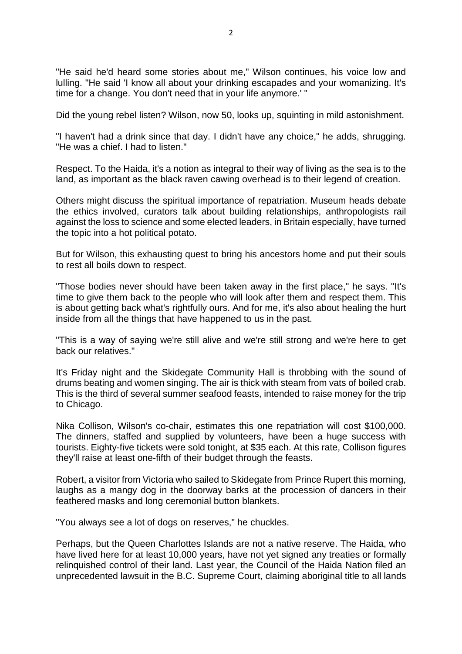"He said he'd heard some stories about me," Wilson continues, his voice low and lulling. "He said 'I know all about your drinking escapades and your womanizing. It's time for a change. You don't need that in your life anymore.' "

Did the young rebel listen? Wilson, now 50, looks up, squinting in mild astonishment.

"I haven't had a drink since that day. I didn't have any choice," he adds, shrugging. "He was a chief. I had to listen."

Respect. To the Haida, it's a notion as integral to their way of living as the sea is to the land, as important as the black raven cawing overhead is to their legend of creation.

Others might discuss the spiritual importance of repatriation. Museum heads debate the ethics involved, curators talk about building relationships, anthropologists rail against the loss to science and some elected leaders, in Britain especially, have turned the topic into a hot political potato.

But for Wilson, this exhausting quest to bring his ancestors home and put their souls to rest all boils down to respect.

"Those bodies never should have been taken away in the first place," he says. "It's time to give them back to the people who will look after them and respect them. This is about getting back what's rightfully ours. And for me, it's also about healing the hurt inside from all the things that have happened to us in the past.

"This is a way of saying we're still alive and we're still strong and we're here to get back our relatives."

It's Friday night and the Skidegate Community Hall is throbbing with the sound of drums beating and women singing. The air is thick with steam from vats of boiled crab. This is the third of several summer seafood feasts, intended to raise money for the trip to Chicago.

Nika Collison, Wilson's co-chair, estimates this one repatriation will cost \$100,000. The dinners, staffed and supplied by volunteers, have been a huge success with tourists. Eighty-five tickets were sold tonight, at \$35 each. At this rate, Collison figures they'll raise at least one-fifth of their budget through the feasts.

Robert, a visitor from Victoria who sailed to Skidegate from Prince Rupert this morning, laughs as a mangy dog in the doorway barks at the procession of dancers in their feathered masks and long ceremonial button blankets.

"You always see a lot of dogs on reserves," he chuckles.

Perhaps, but the Queen Charlottes Islands are not a native reserve. The Haida, who have lived here for at least 10,000 years, have not yet signed any treaties or formally relinquished control of their land. Last year, the Council of the Haida Nation filed an unprecedented lawsuit in the B.C. Supreme Court, claiming aboriginal title to all lands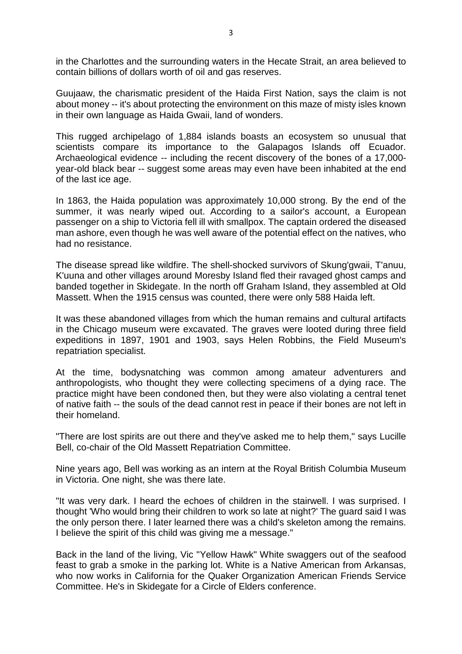in the Charlottes and the surrounding waters in the Hecate Strait, an area believed to contain billions of dollars worth of oil and gas reserves.

Guujaaw, the charismatic president of the Haida First Nation, says the claim is not about money -- it's about protecting the environment on this maze of misty isles known in their own language as Haida Gwaii, land of wonders.

This rugged archipelago of 1,884 islands boasts an ecosystem so unusual that scientists compare its importance to the Galapagos Islands off Ecuador. Archaeological evidence -- including the recent discovery of the bones of a 17,000 year-old black bear -- suggest some areas may even have been inhabited at the end of the last ice age.

In 1863, the Haida population was approximately 10,000 strong. By the end of the summer, it was nearly wiped out. According to a sailor's account, a European passenger on a ship to Victoria fell ill with smallpox. The captain ordered the diseased man ashore, even though he was well aware of the potential effect on the natives, who had no resistance.

The disease spread like wildfire. The shell-shocked survivors of Skung'gwaii, T'anuu, K'uuna and other villages around Moresby Island fled their ravaged ghost camps and banded together in Skidegate. In the north off Graham Island, they assembled at Old Massett. When the 1915 census was counted, there were only 588 Haida left.

It was these abandoned villages from which the human remains and cultural artifacts in the Chicago museum were excavated. The graves were looted during three field expeditions in 1897, 1901 and 1903, says Helen Robbins, the Field Museum's repatriation specialist.

At the time, bodysnatching was common among amateur adventurers and anthropologists, who thought they were collecting specimens of a dying race. The practice might have been condoned then, but they were also violating a central tenet of native faith -- the souls of the dead cannot rest in peace if their bones are not left in their homeland.

"There are lost spirits are out there and they've asked me to help them," says Lucille Bell, co-chair of the Old Massett Repatriation Committee.

Nine years ago, Bell was working as an intern at the Royal British Columbia Museum in Victoria. One night, she was there late.

"It was very dark. I heard the echoes of children in the stairwell. I was surprised. I thought 'Who would bring their children to work so late at night?' The guard said I was the only person there. I later learned there was a child's skeleton among the remains. I believe the spirit of this child was giving me a message."

Back in the land of the living, Vic "Yellow Hawk" White swaggers out of the seafood feast to grab a smoke in the parking lot. White is a Native American from Arkansas, who now works in California for the Quaker Organization American Friends Service Committee. He's in Skidegate for a Circle of Elders conference.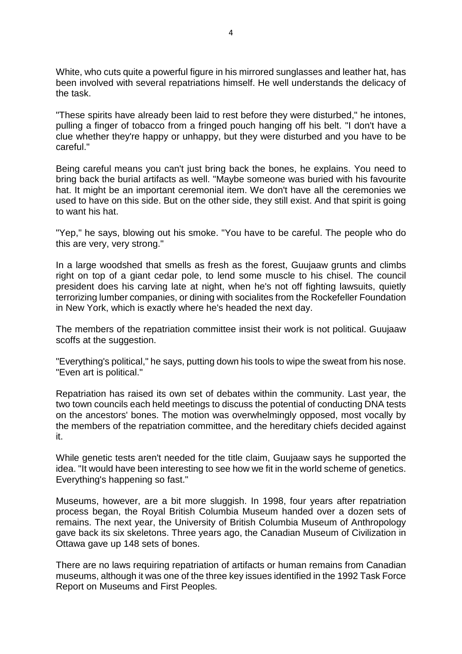White, who cuts quite a powerful figure in his mirrored sunglasses and leather hat, has been involved with several repatriations himself. He well understands the delicacy of the task.

"These spirits have already been laid to rest before they were disturbed," he intones, pulling a finger of tobacco from a fringed pouch hanging off his belt. "I don't have a clue whether they're happy or unhappy, but they were disturbed and you have to be careful."

Being careful means you can't just bring back the bones, he explains. You need to bring back the burial artifacts as well. "Maybe someone was buried with his favourite hat. It might be an important ceremonial item. We don't have all the ceremonies we used to have on this side. But on the other side, they still exist. And that spirit is going to want his hat.

"Yep," he says, blowing out his smoke. "You have to be careful. The people who do this are very, very strong."

In a large woodshed that smells as fresh as the forest, Guujaaw grunts and climbs right on top of a giant cedar pole, to lend some muscle to his chisel. The council president does his carving late at night, when he's not off fighting lawsuits, quietly terrorizing lumber companies, or dining with socialites from the Rockefeller Foundation in New York, which is exactly where he's headed the next day.

The members of the repatriation committee insist their work is not political. Guujaaw scoffs at the suggestion.

"Everything's political," he says, putting down his tools to wipe the sweat from his nose. "Even art is political."

Repatriation has raised its own set of debates within the community. Last year, the two town councils each held meetings to discuss the potential of conducting DNA tests on the ancestors' bones. The motion was overwhelmingly opposed, most vocally by the members of the repatriation committee, and the hereditary chiefs decided against it.

While genetic tests aren't needed for the title claim, Guujaaw says he supported the idea. "It would have been interesting to see how we fit in the world scheme of genetics. Everything's happening so fast."

Museums, however, are a bit more sluggish. In 1998, four years after repatriation process began, the Royal British Columbia Museum handed over a dozen sets of remains. The next year, the University of British Columbia Museum of Anthropology gave back its six skeletons. Three years ago, the Canadian Museum of Civilization in Ottawa gave up 148 sets of bones.

There are no laws requiring repatriation of artifacts or human remains from Canadian museums, although it was one of the three key issues identified in the 1992 Task Force Report on Museums and First Peoples.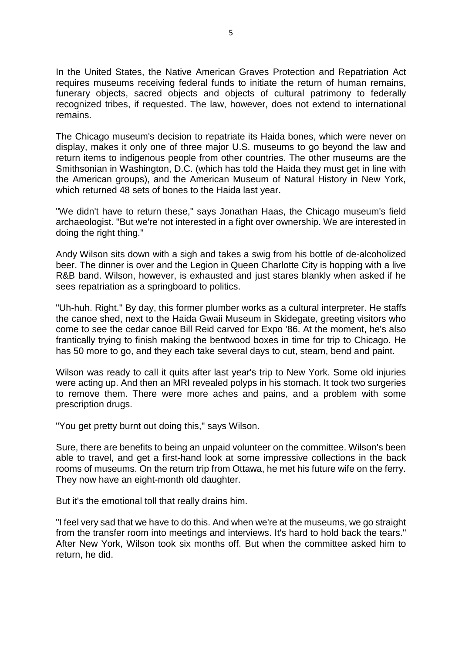In the United States, the Native American Graves Protection and Repatriation Act requires museums receiving federal funds to initiate the return of human remains, funerary objects, sacred objects and objects of cultural patrimony to federally recognized tribes, if requested. The law, however, does not extend to international remains.

The Chicago museum's decision to repatriate its Haida bones, which were never on display, makes it only one of three major U.S. museums to go beyond the law and return items to indigenous people from other countries. The other museums are the Smithsonian in Washington, D.C. (which has told the Haida they must get in line with the American groups), and the American Museum of Natural History in New York, which returned 48 sets of bones to the Haida last year.

"We didn't have to return these," says Jonathan Haas, the Chicago museum's field archaeologist. "But we're not interested in a fight over ownership. We are interested in doing the right thing."

Andy Wilson sits down with a sigh and takes a swig from his bottle of de-alcoholized beer. The dinner is over and the Legion in Queen Charlotte City is hopping with a live R&B band. Wilson, however, is exhausted and just stares blankly when asked if he sees repatriation as a springboard to politics.

"Uh-huh. Right." By day, this former plumber works as a cultural interpreter. He staffs the canoe shed, next to the Haida Gwaii Museum in Skidegate, greeting visitors who come to see the cedar canoe Bill Reid carved for Expo '86. At the moment, he's also frantically trying to finish making the bentwood boxes in time for trip to Chicago. He has 50 more to go, and they each take several days to cut, steam, bend and paint.

Wilson was ready to call it quits after last year's trip to New York. Some old injuries were acting up. And then an MRI revealed polyps in his stomach. It took two surgeries to remove them. There were more aches and pains, and a problem with some prescription drugs.

"You get pretty burnt out doing this," says Wilson.

Sure, there are benefits to being an unpaid volunteer on the committee. Wilson's been able to travel, and get a first-hand look at some impressive collections in the back rooms of museums. On the return trip from Ottawa, he met his future wife on the ferry. They now have an eight-month old daughter.

But it's the emotional toll that really drains him.

"I feel very sad that we have to do this. And when we're at the museums, we go straight from the transfer room into meetings and interviews. It's hard to hold back the tears." After New York, Wilson took six months off. But when the committee asked him to return, he did.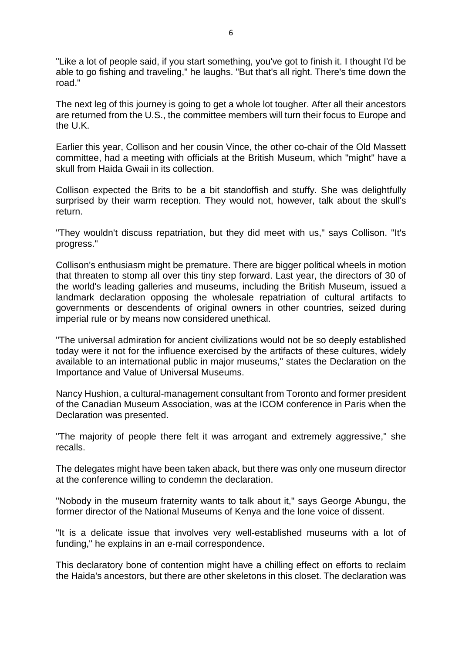"Like a lot of people said, if you start something, you've got to finish it. I thought I'd be able to go fishing and traveling," he laughs. "But that's all right. There's time down the road."

The next leg of this journey is going to get a whole lot tougher. After all their ancestors are returned from the U.S., the committee members will turn their focus to Europe and the U.K.

Earlier this year, Collison and her cousin Vince, the other co-chair of the Old Massett committee, had a meeting with officials at the British Museum, which "might" have a skull from Haida Gwaii in its collection.

Collison expected the Brits to be a bit standoffish and stuffy. She was delightfully surprised by their warm reception. They would not, however, talk about the skull's return.

"They wouldn't discuss repatriation, but they did meet with us," says Collison. "It's progress."

Collison's enthusiasm might be premature. There are bigger political wheels in motion that threaten to stomp all over this tiny step forward. Last year, the directors of 30 of the world's leading galleries and museums, including the British Museum, issued a landmark declaration opposing the wholesale repatriation of cultural artifacts to governments or descendents of original owners in other countries, seized during imperial rule or by means now considered unethical.

"The universal admiration for ancient civilizations would not be so deeply established today were it not for the influence exercised by the artifacts of these cultures, widely available to an international public in major museums," states the Declaration on the Importance and Value of Universal Museums.

Nancy Hushion, a cultural-management consultant from Toronto and former president of the Canadian Museum Association, was at the ICOM conference in Paris when the Declaration was presented.

"The majority of people there felt it was arrogant and extremely aggressive," she recalls.

The delegates might have been taken aback, but there was only one museum director at the conference willing to condemn the declaration.

"Nobody in the museum fraternity wants to talk about it," says George Abungu, the former director of the National Museums of Kenya and the lone voice of dissent.

"It is a delicate issue that involves very well-established museums with a lot of funding," he explains in an e-mail correspondence.

This declaratory bone of contention might have a chilling effect on efforts to reclaim the Haida's ancestors, but there are other skeletons in this closet. The declaration was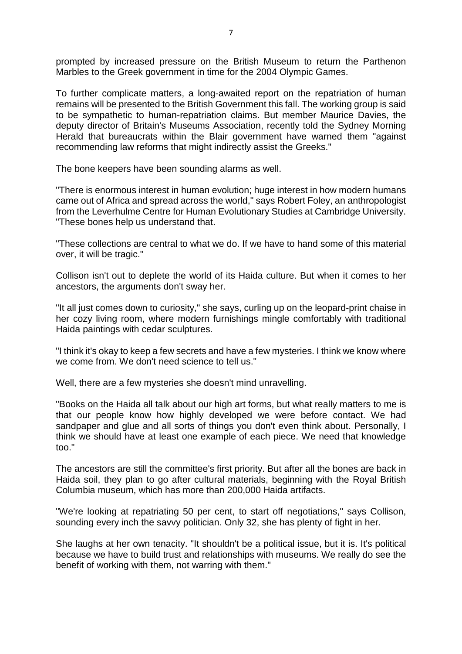prompted by increased pressure on the British Museum to return the Parthenon Marbles to the Greek government in time for the 2004 Olympic Games.

To further complicate matters, a long-awaited report on the repatriation of human remains will be presented to the British Government this fall. The working group is said to be sympathetic to human-repatriation claims. But member Maurice Davies, the deputy director of Britain's Museums Association, recently told the Sydney Morning Herald that bureaucrats within the Blair government have warned them "against recommending law reforms that might indirectly assist the Greeks."

The bone keepers have been sounding alarms as well.

"There is enormous interest in human evolution; huge interest in how modern humans came out of Africa and spread across the world," says Robert Foley, an anthropologist from the Leverhulme Centre for Human Evolutionary Studies at Cambridge University. "These bones help us understand that.

"These collections are central to what we do. If we have to hand some of this material over, it will be tragic."

Collison isn't out to deplete the world of its Haida culture. But when it comes to her ancestors, the arguments don't sway her.

"It all just comes down to curiosity," she says, curling up on the leopard-print chaise in her cozy living room, where modern furnishings mingle comfortably with traditional Haida paintings with cedar sculptures.

"I think it's okay to keep a few secrets and have a few mysteries. I think we know where we come from. We don't need science to tell us."

Well, there are a few mysteries she doesn't mind unravelling.

"Books on the Haida all talk about our high art forms, but what really matters to me is that our people know how highly developed we were before contact. We had sandpaper and glue and all sorts of things you don't even think about. Personally, I think we should have at least one example of each piece. We need that knowledge too."

The ancestors are still the committee's first priority. But after all the bones are back in Haida soil, they plan to go after cultural materials, beginning with the Royal British Columbia museum, which has more than 200,000 Haida artifacts.

"We're looking at repatriating 50 per cent, to start off negotiations," says Collison, sounding every inch the savvy politician. Only 32, she has plenty of fight in her.

She laughs at her own tenacity. "It shouldn't be a political issue, but it is. It's political because we have to build trust and relationships with museums. We really do see the benefit of working with them, not warring with them."